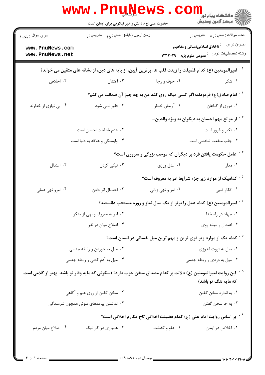| سري سوال : يک ۱                       | زمان أزمون (دقيقه) : تستي : ۴۵ – تشريحي : .                                                                                       |                             | تعداد سوالات : تستبي : ٩. مس     تشريحي : .                                                         |
|---------------------------------------|-----------------------------------------------------------------------------------------------------------------------------------|-----------------------------|-----------------------------------------------------------------------------------------------------|
| www.PnuNews.com<br>www.PnuNews.net    |                                                                                                                                   |                             | عنــوان درس       : (اخلاق اسلامی(مبانی و مفاهیم<br>رشته تحصیلي/کد در س ۔ عمومی علوم پایه – ۱۲۳۳۰۲۹ |
|                                       | <sup>1</sup> <sup>-</sup> امیرالمومنین (ع) کدام فضیلت را زینت قلب ها، بر ترین آیین، از پایه های دین، از نشانه های متقین می خواند؟ |                             |                                                                                                     |
| ۰۴ اخلاص                              | ۰۳ اعتدال                                                                                                                         | ۰۲ خوف و رجا                | ۰۱ شکر                                                                                              |
|                                       | <sup>۲</sup> <sup>-</sup> امام صادق(ع) فرمودند: اگر کسی میانه روی کند من به چه چیز آن ضمانت می کنم؟                               |                             |                                                                                                     |
| ۰۴ بی نیازی از خداوند                 | ۰۳ فقیر نمی شود                                                                                                                   | ۲. آرامش خاطر               | ۰۱ دوری از گناهان                                                                                   |
|                                       |                                                                                                                                   |                             | از موانع مهم احسان به دیگران به ویژه والدین $\cdot$                                                 |
|                                       | ۰۲ عدم شناخت احسان است                                                                                                            |                             | ۰۱ تکبر و غرور است                                                                                  |
|                                       | ۰۴ وابستگی و علاقه به دنیا است                                                                                                    |                             | ۰۳ جلب منفعت شخصی است                                                                               |
|                                       |                                                                                                                                   |                             | <sup>۶</sup> <sup>-</sup> عامل حکومت یافتن فرد بر دیگران که موجب بزرگی و سروری است؟                 |
| ۰۴ اعتدال                             | ۰۳ نیکی کردن                                                                                                                      | ۰۲ عدل ورزی                 | ۰۱ مدارا                                                                                            |
|                                       |                                                                                                                                   |                             | <sup>۵ -</sup> کدامیک از موارد زیر جزء شرایط امر به معروف است؟                                      |
| ۰۴ امرو نهی عملی                      | ۰۳ احتمال اثر دادن                                                                                                                | ۰۲ امر و نهی زبانی          | ۰۱ افکار قلبی                                                                                       |
|                                       |                                                                                                                                   |                             | گ - امیرالمومنین (ع) کدام عمل را برتر از یک سال نماز و روزه مستحب دانستند؟                          |
| ۰۲ امر به معروف و نهی از منکر         |                                                                                                                                   | ۰۱ جهاد در راه خدا          |                                                                                                     |
| ۰۴ اصلاح ميان دو نفر                  |                                                                                                                                   | ۰۳ اعتدال و میانه روی       |                                                                                                     |
|                                       |                                                                                                                                   |                             | $^{\circ}$ کدام یک از موارد زیر قوی ترین و مهم ترین میل نفسانی در انسان است $^{\circ}$              |
| ۰۲ میل به خوردن و رابطه جنسی          |                                                                                                                                   | ۰۱ میل به ثروت اندوزی       |                                                                                                     |
|                                       | ۰۴ میل به آدم کشی و رابطه جنسی                                                                                                    | ۰۳ میل به دزدی و رابطه جنسی |                                                                                                     |
|                                       | <sup>^ -</sup> این روایت امیرالمومنین (ع) دلالت بر کدام مصداق سخن خوب دارد؟ (سکوتی که مایه وقار تو باشد، بهتر از کلامی است        |                             | که مایه ننگ تو باشد)                                                                                |
| ۰۲ سخن گفتن از روی علم و آگاهی        |                                                                                                                                   | ۰۱ به اندازه سخن گفتن       |                                                                                                     |
| ۰۴ نداشتن پیامدهای سوئی همچون شرمندگی |                                                                                                                                   |                             | ۰۳ به جا سخن گفتن                                                                                   |
|                                       |                                                                                                                                   |                             | <sup>۹ -</sup> بر اساس روایت امام علی (ع) کدام فضیلت اخلاقی تاج مکارم اخلاقی است؟                   |
| ۰۴ اصلاح میان مردم                    | ۰۳ همیاری در کار نیک                                                                                                              | ۰۲ عفو و گذشت               | ۰۱ اخلاص در ایمان                                                                                   |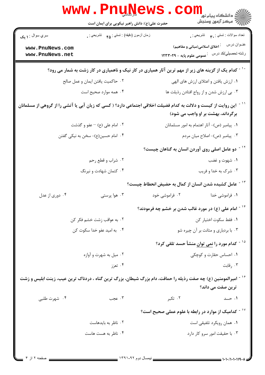|                                                                                                                                                     |                                                                          | <b>WWW.PNUNEWS.COILL</b>                                                                               |  |  |  |
|-----------------------------------------------------------------------------------------------------------------------------------------------------|--------------------------------------------------------------------------|--------------------------------------------------------------------------------------------------------|--|--|--|
| سري سوال : <b>۱ يک</b>                                                                                                                              | زمان أزمون (دقيقه) : تستي : ۴۵ ٪ تشريحي : .                              | تعداد سوالات : تستبي : ٣. تشريحي : .                                                                   |  |  |  |
| www.PnuNews.com<br>www.PnuNews.net                                                                                                                  |                                                                          | عنــوان درس<br><sup>:</sup> اخلاق اسلامی(مبانی و مفاهیم)<br>رشته تحصیلي/کد در س مع علوم پایه – ۱۲۳۳۰۲۹ |  |  |  |
| <sup>۱۰ -</sup> کدام یک از گزینه های زیر از مهم ترین آثار همیاری در کار نیک و ناهمیاری در کار زشت به شمار می رود؟                                   |                                                                          |                                                                                                        |  |  |  |
|                                                                                                                                                     | ۰۱ ارزش یافتن و اعتلای ارزش های الهی<br>۰۲ حاکمیت یافتن ایمان و عمل صالح |                                                                                                        |  |  |  |
|                                                                                                                                                     | ۰۴ همه موارد صحیح است                                                    | ۰۳ بی ارزش شدن و از رواج افتادن رذیلت ها                                                               |  |  |  |
| این روایت از کیست و دلالت به کدام فضیلت اخلاقی اجتماعی دارد؟ ( کسی که زیان آبی یا آتشی را از گروهی از مسلمانان<br>برگرداند، بهشت بر او واجب می شود) |                                                                          |                                                                                                        |  |  |  |
|                                                                                                                                                     | ۰۲ امام علی (ع) – عفو و گذشت                                             | ۰۱ پیامبر (ص)- آثار اهتمام به امور مسلمانان                                                            |  |  |  |
|                                                                                                                                                     | ۰۴ امام حسین(ع)- سخن به نیکی گفتن                                        | ۰۳ پیامبر (ص)- اصلاح میان مردم                                                                         |  |  |  |
|                                                                                                                                                     |                                                                          | <sup>۱۲ -</sup> دو عامل اصلی روی آوردن انسان به گناهان چیست؟                                           |  |  |  |
|                                                                                                                                                     | ۰۲ شراب و قطع رحم                                                        | ۰۱ شهوت و غضب                                                                                          |  |  |  |
|                                                                                                                                                     | ۰۴ کتمان شهادت و نیرنگ                                                   | ۰۳ شرک به خدا و فریب                                                                                   |  |  |  |
|                                                                                                                                                     |                                                                          | <sup>۱۳ -</sup> عامل کشیده شدن انسان از کمال به حضیض انحطاط چیست؟                                      |  |  |  |
| ۰۴ دوری از عدل                                                                                                                                      | ۰۳ هوا پرستی                                                             | ۰۲ فراموشی خود<br>۰۱ فراموشی خدا                                                                       |  |  |  |
|                                                                                                                                                     |                                                                          | <sup>۱۴ -</sup> امام علی (ع) در مورد غالب شدن بر خشم چه فرمودند؟                                       |  |  |  |
|                                                                                                                                                     | ۰۲ به عواقب زشت خشم فکر کن                                               | ٠١ فقط سكوت اختيار كن                                                                                  |  |  |  |
|                                                                                                                                                     | ۰۴ به اميد عفو خدا سكوت كن                                               | ۰۳ با بردباری و متانت بر آن چیره شو                                                                    |  |  |  |
|                                                                                                                                                     |                                                                          | <sup>۱۵ -</sup> کدام مورد را <u>نمی توان</u> منشأ حسد تلقی کرد؟                                        |  |  |  |
|                                                                                                                                                     | ۰۲ میل به شهرت و آوازه                                                   | ۰۱ احساس حقارت و کوچکی                                                                                 |  |  |  |
|                                                                                                                                                     | ۰۴ تعزز                                                                  | ۰۳ رقابت                                                                                               |  |  |  |
| ۱۶ وسیرالمومنین (ع) چه صفت رذیله را حماقت، دام بزرگ شیطان، بزرگ ترین گناه ، دردناک ترین عیب، زینت ابلیس و زشت $\gamma$<br>ترین صفت می داند؟         |                                                                          |                                                                                                        |  |  |  |
| ۰۴ شهرت طلبی                                                                                                                                        | ۰۳ عجب                                                                   | ۰۲ تکبر<br>۰۱ حسد                                                                                      |  |  |  |
|                                                                                                                                                     |                                                                          | $^{\circ}$ کدامیک از موارد در رابطه با علوم عملی صحیح است $^{\circ}$                                   |  |  |  |
|                                                                                                                                                     | ۰۲ ناظر به بایدهاست                                                      | ۰۱ همان رویکرد تلفیقی است                                                                              |  |  |  |
|                                                                                                                                                     | ۰۴ ناظر به هست هاست                                                      | ۰۳ با حقیقت امور سرو کار دارد                                                                          |  |  |  |
|                                                                                                                                                     |                                                                          |                                                                                                        |  |  |  |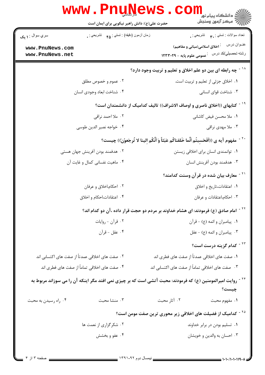| سري سوال : ۱ مک                                                                                                         | زمان أزمون (دقيقه) : تستى : هم     تشريحي : .                                                    |                                                 | تعداد سوالات : تستبي : ٩. مسمد التشريحي : .                                                                 |  |
|-------------------------------------------------------------------------------------------------------------------------|--------------------------------------------------------------------------------------------------|-------------------------------------------------|-------------------------------------------------------------------------------------------------------------|--|
| www.PnuNews.com<br>www.PnuNews.net                                                                                      |                                                                                                  |                                                 | عنــوان درس<br><sup>:</sup> اخلاق اسلامی(مبانی و مفاهیم)<br>رشته تحصیلی/کد در س ۔ عمومی علوم پایه – ۱۲۳۳۰۲۹ |  |
|                                                                                                                         |                                                                                                  |                                                 | <sup>۱۸ -</sup> چه رابطه ای بین دو علم اخلاق و تعلیم و تربیت وجود دارد؟                                     |  |
| ۰۲ عموم و خصوص مطلق                                                                                                     |                                                                                                  |                                                 | ٠١. اخلاق جزئي از تعليم و تربيت است.                                                                        |  |
| ۰۴ شناخت ابعاد وجودي انسان                                                                                              |                                                                                                  |                                                 | ۰۳ شناخت قوای انسانی                                                                                        |  |
|                                                                                                                         | <sup>۱۹ -</sup> کتابهای ((اخلاق ناصری و اوصاف الاشراف)) تالیف کدامیک از دانشمندان است؟           |                                                 |                                                                                                             |  |
|                                                                                                                         | ۰۲ ملا احمد نراقی                                                                                |                                                 | ٠١. ملا محسن فيض كاشاني                                                                                     |  |
| ۰۴ خواجه نصير الدين طوسي                                                                                                |                                                                                                  |                                                 | ۰۳ ملا مهدی نراقی                                                                                           |  |
|                                                                                                                         | ``` - مفهوم آيه ي ((اَفَحَسبتُم اَنِّما خَلقناكُم عَبَثاً وَ اَنَّكُم الينا لا تُرجَعوُن)) چيست؟ |                                                 |                                                                                                             |  |
| ۰۲ هدفمند بودن آفرینش جهان هستی                                                                                         |                                                                                                  |                                                 | ٠١ توانمندي انسان براي اخلاقي زيستن                                                                         |  |
| ۰۴ ماهیت نفسانی کمال و غایت آن                                                                                          |                                                                                                  |                                                 | ۰۳ هدفمند بودن آفرينش انسان                                                                                 |  |
|                                                                                                                         |                                                                                                  |                                                 | <sup>۲۱ -</sup> معارف بیان شده در قرآن وسنت کدامند؟                                                         |  |
|                                                                                                                         | ۰۲ احکام،اخلاق و عرفان                                                                           | ٠١. اعتقادات،تاريخ و اخلاق                      |                                                                                                             |  |
| ۰۴ اعتقادات،احکام و اخلاق                                                                                               |                                                                                                  | ۰۳ احکام،اعتقادات و عرفان                       |                                                                                                             |  |
|                                                                                                                         | <sup>۲۲ -</sup> امام صادق (ع) فرمودند: ای هشام خداوند بر مردم دو حجت قرار داده ،آن دو کدام اند؟  |                                                 |                                                                                                             |  |
|                                                                                                                         | ۰۲ قرأن - روايات                                                                                 | ۰۱ پیامبران و ائمه (ع) - قرآن                   |                                                                                                             |  |
|                                                                                                                         | ۰۴ عقل - قرآن                                                                                    | ۰۳ پیامبران و ائمه (ع) - عقل                    |                                                                                                             |  |
|                                                                                                                         |                                                                                                  |                                                 | <sup>۲۳ -</sup> کدام گزینه درست است؟                                                                        |  |
| ۰۲ صفت های اخلاقی عمدتاً از صفت های اکتسابی اند                                                                         |                                                                                                  |                                                 | ٠١. صفت هاى اخلاقى عمدتاً از صفت هاى فطرى اند                                                               |  |
| ۰۴ صفت های اخلاقی تماماً از صفت های فطری اند                                                                            |                                                                                                  | ۰۳ صفت های اخلاقی تماماً از صفت های اکتسابی اند |                                                                                                             |  |
| <sup>۲۴ -</sup> روایت امیرالمومنین (ع) که فرمودند: محبت آتشی است که بر چیزی نمی افتد مگر اینکه آن را می سوزاند مربوط به |                                                                                                  |                                                 | چيست؟                                                                                                       |  |
| ۰۴ راه رسیدن به محبت                                                                                                    | ۰۳ منشا محبت                                                                                     | ۰۲ آثار محبت                                    | ۰۱ مفهوم محبت                                                                                               |  |
|                                                                                                                         |                                                                                                  |                                                 | <sup>۲۵ -</sup> کدامیک از فضیلت های اخلاقی زیر محوری ترین صفت مومن است؟                                     |  |
| ۰۲ شکرگزاری از نعمت ها                                                                                                  |                                                                                                  |                                                 | ۰۱ تسلیم بودن در برابر خداوند                                                                               |  |
|                                                                                                                         | ۰۴ عفو و بخشش                                                                                    |                                                 | ۰۳ احسان به والدين و خويشان                                                                                 |  |